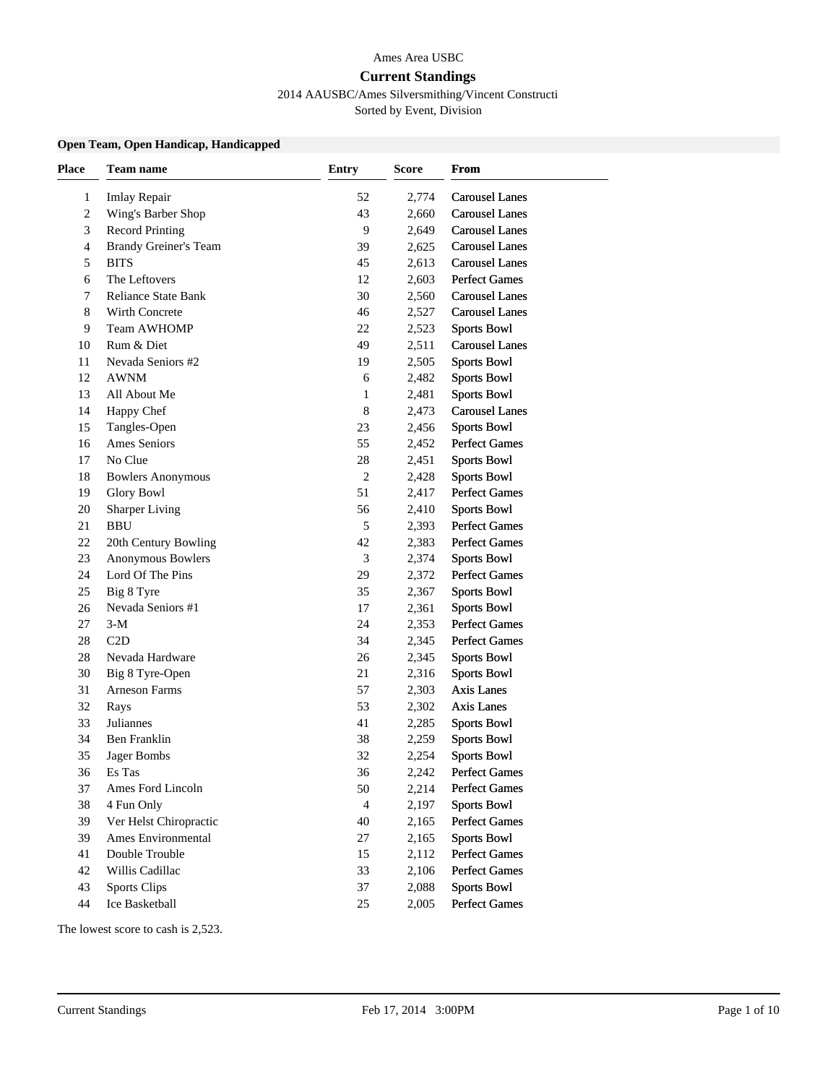#### Ames Area USBC

#### **Current Standings**

### 2014 AAUSBC/Ames Silversmithing/Vincent Constructi

Sorted by Event, Division

### **Open Team, Open Handicap, Handicapped**

| <b>Place</b>   | Team name                    | <b>Entry</b>   | Score | From                  |
|----------------|------------------------------|----------------|-------|-----------------------|
| 1              | <b>Imlay Repair</b>          | 52             | 2,774 | <b>Carousel Lanes</b> |
| $\overline{c}$ | Wing's Barber Shop           | 43             | 2,660 | <b>Carousel Lanes</b> |
| 3              | <b>Record Printing</b>       | 9              | 2,649 | <b>Carousel Lanes</b> |
| 4              | <b>Brandy Greiner's Team</b> | 39             | 2,625 | <b>Carousel Lanes</b> |
| 5              | <b>BITS</b>                  | 45             | 2,613 | <b>Carousel Lanes</b> |
| 6              | The Leftovers                | 12             | 2,603 | <b>Perfect Games</b>  |
| 7              | <b>Reliance State Bank</b>   | 30             | 2,560 | <b>Carousel Lanes</b> |
| 8              | Wirth Concrete               | 46             | 2,527 | <b>Carousel Lanes</b> |
| 9              | Team AWHOMP                  | 22             | 2,523 | <b>Sports Bowl</b>    |
| 10             | Rum & Diet                   | 49             | 2,511 | <b>Carousel Lanes</b> |
| 11             | Nevada Seniors #2            | 19             | 2,505 | <b>Sports Bowl</b>    |
| 12             | <b>AWNM</b>                  | 6              | 2,482 | <b>Sports Bowl</b>    |
| 13             | All About Me                 | 1              | 2,481 | <b>Sports Bowl</b>    |
| 14             | Happy Chef                   | 8              | 2,473 | <b>Carousel Lanes</b> |
| 15             | Tangles-Open                 | 23             | 2,456 | <b>Sports Bowl</b>    |
| 16             | Ames Seniors                 | 55             | 2,452 | <b>Perfect Games</b>  |
| 17             | No Clue                      | 28             | 2,451 | <b>Sports Bowl</b>    |
| 18             | <b>Bowlers Anonymous</b>     | $\sqrt{2}$     | 2,428 | <b>Sports Bowl</b>    |
| 19             | <b>Glory Bowl</b>            | 51             | 2,417 | <b>Perfect Games</b>  |
| 20             | <b>Sharper Living</b>        | 56             | 2,410 | <b>Sports Bowl</b>    |
| 21             | <b>BBU</b>                   | 5              | 2,393 | <b>Perfect Games</b>  |
| 22             | 20th Century Bowling         | 42             | 2,383 | <b>Perfect Games</b>  |
| 23             | Anonymous Bowlers            | 3              | 2,374 | <b>Sports Bowl</b>    |
| 24             | Lord Of The Pins             | 29             | 2,372 | <b>Perfect Games</b>  |
| 25             | Big 8 Tyre                   | 35             | 2,367 | <b>Sports Bowl</b>    |
| 26             | Nevada Seniors #1            | 17             | 2,361 | <b>Sports Bowl</b>    |
| 27             | $3-M$                        | 24             | 2,353 | <b>Perfect Games</b>  |
| 28             | C2D                          | 34             | 2,345 | <b>Perfect Games</b>  |
| 28             | Nevada Hardware              | 26             | 2,345 | <b>Sports Bowl</b>    |
| 30             | Big 8 Tyre-Open              | 21             | 2,316 | <b>Sports Bowl</b>    |
| 31             | Arneson Farms                | 57             | 2,303 | Axis Lanes            |
| 32             | Rays                         | 53             | 2,302 | Axis Lanes            |
| 33             | Juliannes                    | 41             | 2,285 | <b>Sports Bowl</b>    |
| 34             | Ben Franklin                 | 38             | 2,259 | <b>Sports Bowl</b>    |
| 35             | Jager Bombs                  | 32             | 2,254 | <b>Sports Bowl</b>    |
| 36             | Es Tas                       | 36             | 2,242 | <b>Perfect Games</b>  |
| 37             | Ames Ford Lincoln            | 50             | 2,214 | <b>Perfect Games</b>  |
| 38             | 4 Fun Only                   | $\overline{4}$ | 2,197 | <b>Sports Bowl</b>    |
| 39             | Ver Helst Chiropractic       | 40             | 2,165 | <b>Perfect Games</b>  |
| 39             | Ames Environmental           | 27             | 2,165 | <b>Sports Bowl</b>    |
| 41             | Double Trouble               | 15             | 2,112 | Perfect Games         |
| 42             | Willis Cadillac              | 33             | 2,106 | <b>Perfect Games</b>  |
| 43             | <b>Sports Clips</b>          | 37             | 2,088 | <b>Sports Bowl</b>    |
| 44             | Ice Basketball               | 25             | 2,005 | Perfect Games         |
|                |                              |                |       |                       |

The lowest score to cash is 2,523.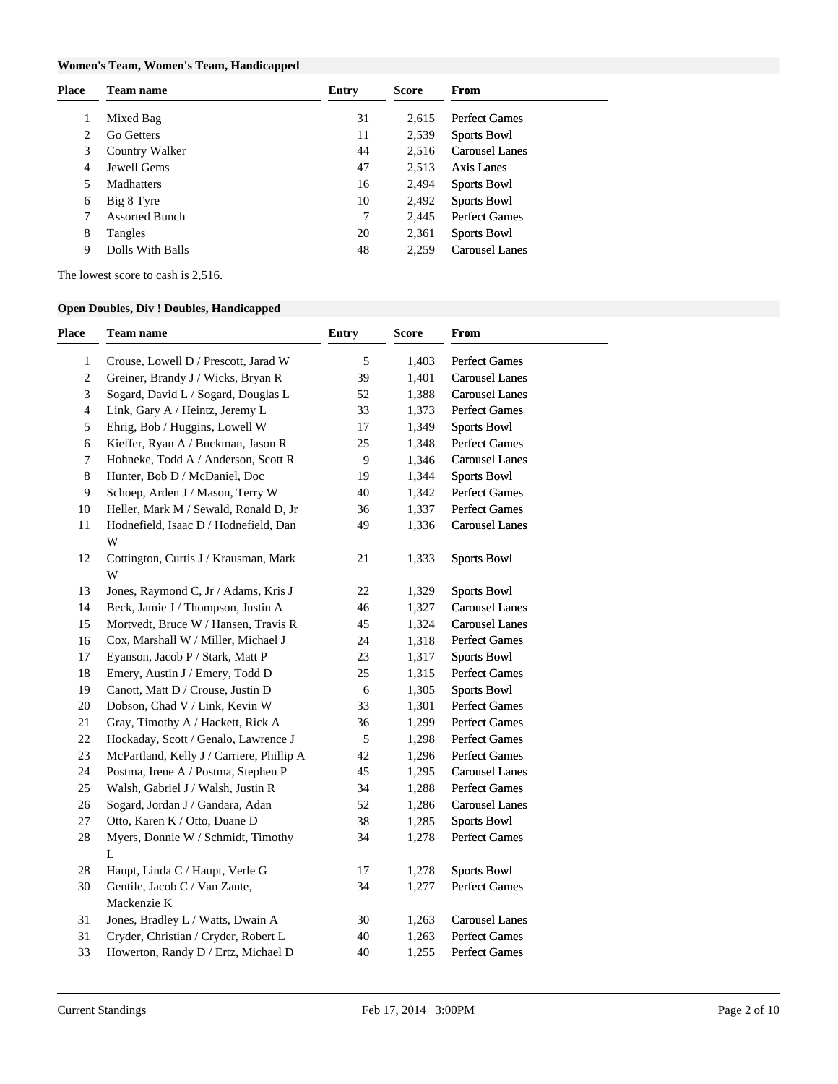### **Women's Team, Women's Team, Handicapped**

| 31<br>Mixed Bag<br><b>Perfect Games</b><br>2.615<br>11<br>Go Getters<br>2,539<br>2<br><b>Sports Bowl</b> |  |
|----------------------------------------------------------------------------------------------------------|--|
|                                                                                                          |  |
|                                                                                                          |  |
| 44<br><b>Carousel Lanes</b><br>3<br>Country Walker<br>2.516                                              |  |
| 47<br>Jewell Gems<br>Axis Lanes<br>2,513<br>4                                                            |  |
| 16<br>2,494<br>Madhatters<br><b>Sports Bowl</b><br>5                                                     |  |
| 10<br>2,492<br><b>Sports Bowl</b><br>Big 8 Tyre<br>6                                                     |  |
| 7<br><b>Assorted Bunch</b><br><b>Perfect Games</b><br>2.445                                              |  |
| 8<br>20<br>2,361<br><b>Sports Bowl</b><br>Tangles                                                        |  |
| Dolls With Balls<br>48<br><b>Carousel Lanes</b><br>2.259<br>9                                            |  |

The lowest score to cash is 2,516.

### **Open Doubles, Div ! Doubles, Handicapped**

| <b>Place</b>   | <b>Team name</b>                           | <b>Entry</b>   | Score | From                  |
|----------------|--------------------------------------------|----------------|-------|-----------------------|
| $\mathbf{1}$   | Crouse, Lowell D / Prescott, Jarad W       | 5              | 1,403 | Perfect Games         |
| $\sqrt{2}$     | Greiner, Brandy J / Wicks, Bryan R         | 39             | 1,401 | <b>Carousel Lanes</b> |
| 3              | Sogard, David L / Sogard, Douglas L        | 52             | 1,388 | <b>Carousel Lanes</b> |
| $\overline{4}$ | Link, Gary A / Heintz, Jeremy L            | 33             | 1,373 | <b>Perfect Games</b>  |
| 5              | Ehrig, Bob / Huggins, Lowell W             | 17             | 1,349 | <b>Sports Bowl</b>    |
| 6              | Kieffer, Ryan A / Buckman, Jason R         | 25             | 1,348 | <b>Perfect Games</b>  |
| 7              | Hohneke, Todd A / Anderson, Scott R        | $\overline{9}$ | 1,346 | <b>Carousel Lanes</b> |
| $\,8\,$        | Hunter, Bob D / McDaniel, Doc              | 19             | 1,344 | <b>Sports Bowl</b>    |
| 9              | Schoep, Arden J / Mason, Terry W           | 40             | 1,342 | Perfect Games         |
| 10             | Heller, Mark M / Sewald, Ronald D, Jr      | 36             | 1,337 | <b>Perfect Games</b>  |
| 11             | Hodnefield, Isaac D / Hodnefield, Dan      | 49             | 1,336 | <b>Carousel Lanes</b> |
|                | W                                          |                |       |                       |
| 12             | Cottington, Curtis J / Krausman, Mark<br>W | 21             | 1,333 | <b>Sports Bowl</b>    |
| 13             | Jones, Raymond C, Jr / Adams, Kris J       | 22             | 1,329 | <b>Sports Bowl</b>    |
| 14             | Beck, Jamie J / Thompson, Justin A         | 46             | 1,327 | <b>Carousel Lanes</b> |
| 15             | Mortvedt, Bruce W / Hansen, Travis R       | 45             | 1,324 | <b>Carousel Lanes</b> |
| 16             | Cox, Marshall W / Miller, Michael J        | 24             | 1,318 | Perfect Games         |
| 17             | Eyanson, Jacob P / Stark, Matt P           | 23             | 1,317 | <b>Sports Bowl</b>    |
| 18             | Emery, Austin J / Emery, Todd D            | 25             | 1,315 | <b>Perfect Games</b>  |
| 19             | Canott, Matt D / Crouse, Justin D          | $\sqrt{6}$     | 1,305 | <b>Sports Bowl</b>    |
| 20             | Dobson, Chad V / Link, Kevin W             | 33             | 1,301 | Perfect Games         |
| 21             | Gray, Timothy A / Hackett, Rick A          | 36             | 1,299 | Perfect Games         |
| 22             | Hockaday, Scott / Genalo, Lawrence J       | 5              | 1,298 | <b>Perfect Games</b>  |
| 23             | McPartland, Kelly J / Carriere, Phillip A  | 42             | 1,296 | <b>Perfect Games</b>  |
| 24             | Postma, Irene A / Postma, Stephen P        | 45             | 1,295 | <b>Carousel Lanes</b> |
| 25             | Walsh, Gabriel J / Walsh, Justin R         | 34             | 1,288 | Perfect Games         |
| 26             | Sogard, Jordan J / Gandara, Adan           | 52             | 1,286 | <b>Carousel Lanes</b> |
| 27             | Otto, Karen K / Otto, Duane D              | 38             | 1,285 | <b>Sports Bowl</b>    |
| 28             | Myers, Donnie W / Schmidt, Timothy<br>L    | 34             | 1,278 | Perfect Games         |
| 28             | Haupt, Linda C / Haupt, Verle G            | 17             | 1,278 | <b>Sports Bowl</b>    |
| 30             | Gentile, Jacob C / Van Zante,              | 34             | 1,277 | <b>Perfect Games</b>  |
|                | Mackenzie K                                |                |       |                       |
| 31             | Jones, Bradley L / Watts, Dwain A          | 30             | 1,263 | <b>Carousel Lanes</b> |
| 31             | Cryder, Christian / Cryder, Robert L       | 40             | 1,263 | Perfect Games         |
| 33             | Howerton, Randy D / Ertz, Michael D        | 40             | 1,255 | Perfect Games         |
|                |                                            |                |       |                       |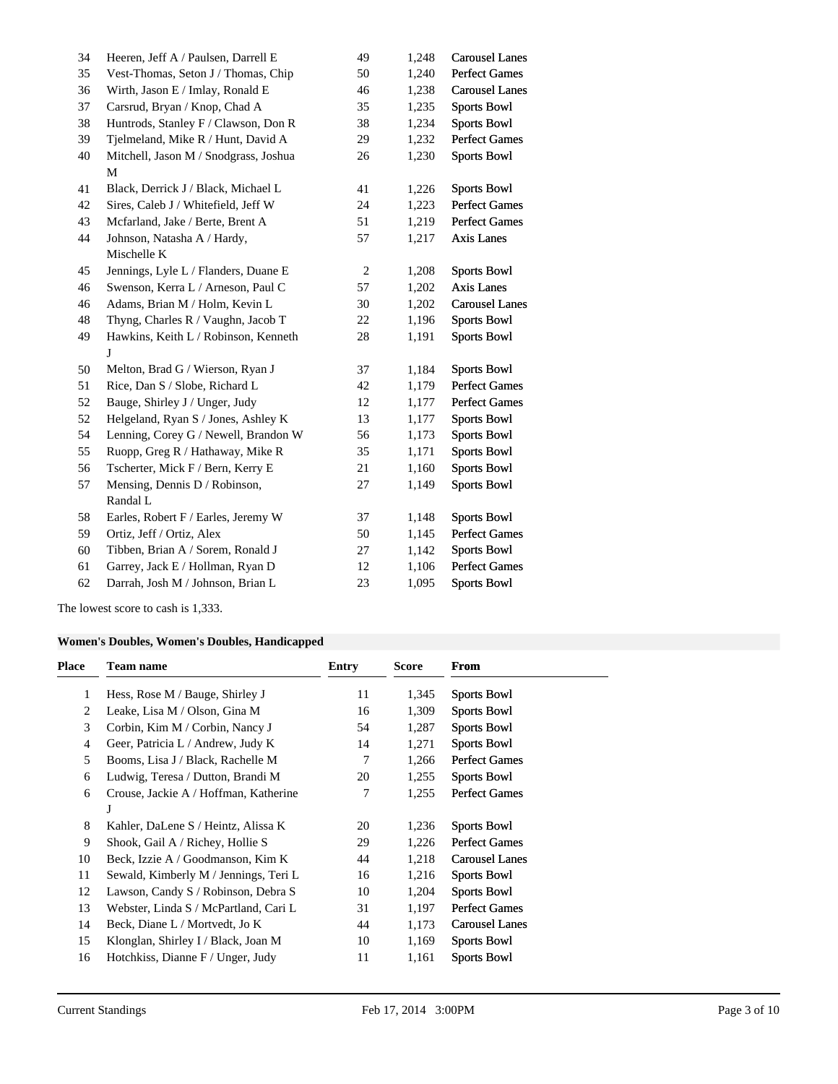| 34 | Heeren, Jeff A / Paulsen, Darrell E   | 49             | 1,248 | <b>Carousel Lanes</b> |
|----|---------------------------------------|----------------|-------|-----------------------|
| 35 | Vest-Thomas, Seton J / Thomas, Chip   | 50             | 1,240 | Perfect Games         |
| 36 | Wirth, Jason E / Imlay, Ronald E      | 46             | 1,238 | <b>Carousel Lanes</b> |
| 37 | Carsrud, Bryan / Knop, Chad A         | 35             | 1,235 | <b>Sports Bowl</b>    |
| 38 | Huntrods, Stanley F / Clawson, Don R  | 38             | 1,234 | <b>Sports Bowl</b>    |
| 39 | Tjelmeland, Mike R / Hunt, David A    | 29             | 1,232 | Perfect Games         |
| 40 | Mitchell, Jason M / Snodgrass, Joshua | 26             | 1,230 | <b>Sports Bowl</b>    |
|    | ${\bf M}$                             |                |       |                       |
| 41 | Black, Derrick J / Black, Michael L   | 41             | 1,226 | <b>Sports Bowl</b>    |
| 42 | Sires, Caleb J / Whitefield, Jeff W   | 24             | 1,223 | Perfect Games         |
| 43 | Mcfarland, Jake / Berte, Brent A      | 51             | 1,219 | <b>Perfect Games</b>  |
| 44 | Johnson, Natasha A / Hardy,           | 57             | 1,217 | <b>Axis Lanes</b>     |
|    | Mischelle K                           |                |       |                       |
| 45 | Jennings, Lyle L / Flanders, Duane E  | $\overline{2}$ | 1,208 | <b>Sports Bowl</b>    |
| 46 | Swenson, Kerra L / Arneson, Paul C    | 57             | 1,202 | Axis Lanes            |
| 46 | Adams, Brian M / Holm, Kevin L        | 30             | 1,202 | <b>Carousel Lanes</b> |
| 48 | Thyng, Charles R / Vaughn, Jacob T    | 22             | 1,196 | <b>Sports Bowl</b>    |
| 49 | Hawkins, Keith L / Robinson, Kenneth  | 28             | 1,191 | <b>Sports Bowl</b>    |
|    | J                                     |                |       |                       |
| 50 | Melton, Brad G / Wierson, Ryan J      | 37             | 1,184 | <b>Sports Bowl</b>    |
| 51 | Rice, Dan S / Slobe, Richard L        | 42             | 1,179 | <b>Perfect Games</b>  |
| 52 | Bauge, Shirley J / Unger, Judy        | 12             | 1,177 | <b>Perfect Games</b>  |
| 52 | Helgeland, Ryan S / Jones, Ashley K   | 13             | 1,177 | <b>Sports Bowl</b>    |
| 54 | Lenning, Corey G / Newell, Brandon W  | 56             | 1,173 | <b>Sports Bowl</b>    |
| 55 | Ruopp, Greg R / Hathaway, Mike R      | 35             | 1,171 | <b>Sports Bowl</b>    |
| 56 | Tscherter, Mick F / Bern, Kerry E     | 21             | 1,160 | <b>Sports Bowl</b>    |
| 57 | Mensing, Dennis D / Robinson,         | 27             | 1,149 | <b>Sports Bowl</b>    |
|    | Randal L                              |                |       |                       |
| 58 | Earles, Robert F / Earles, Jeremy W   | 37             | 1,148 | <b>Sports Bowl</b>    |
| 59 | Ortiz, Jeff / Ortiz, Alex             | 50             | 1,145 | <b>Perfect Games</b>  |
| 60 | Tibben, Brian A / Sorem, Ronald J     | 27             | 1,142 | <b>Sports Bowl</b>    |
| 61 | Garrey, Jack E / Hollman, Ryan D      | 12             | 1,106 | <b>Perfect Games</b>  |
| 62 | Darrah, Josh M / Johnson, Brian L     | 23             | 1,095 | <b>Sports Bowl</b>    |

The lowest score to cash is 1,333.

# **Women's Doubles, Women's Doubles, Handicapped**

| <b>Place</b>   | <b>Team name</b>                      | Entry | Score | From                  |
|----------------|---------------------------------------|-------|-------|-----------------------|
| 1              | Hess, Rose M / Bauge, Shirley J       | 11    | 1,345 | <b>Sports Bowl</b>    |
| 2              | Leake, Lisa M / Olson, Gina M         | 16    | 1,309 | <b>Sports Bowl</b>    |
| 3              | Corbin, Kim M / Corbin, Nancy J       | 54    | 1,287 | <b>Sports Bowl</b>    |
| $\overline{4}$ | Geer, Patricia L / Andrew, Judy K     | 14    | 1,271 | <b>Sports Bowl</b>    |
| 5              | Booms, Lisa J / Black, Rachelle M     | 7     | 1,266 | <b>Perfect Games</b>  |
| 6              | Ludwig, Teresa / Dutton, Brandi M     | 20    | 1,255 | <b>Sports Bowl</b>    |
| 6              | Crouse, Jackie A / Hoffman, Katherine | 7     | 1,255 | <b>Perfect Games</b>  |
|                | J                                     |       |       |                       |
| 8              | Kahler, DaLene S / Heintz, Alissa K   | 20    | 1,236 | <b>Sports Bowl</b>    |
| 9              | Shook, Gail A / Richey, Hollie S      | 29    | 1,226 | <b>Perfect Games</b>  |
| 10             | Beck, Izzie A / Goodmanson, Kim K     | 44    | 1,218 | <b>Carousel Lanes</b> |
| 11             | Sewald, Kimberly M / Jennings, Teri L | 16    | 1,216 | <b>Sports Bowl</b>    |
| 12             | Lawson, Candy S / Robinson, Debra S   | 10    | 1,204 | <b>Sports Bowl</b>    |
| 13             | Webster, Linda S / McPartland, Cari L | 31    | 1,197 | <b>Perfect Games</b>  |
| 14             | Beck, Diane L / Mortvedt, Jo K        | 44    | 1,173 | <b>Carousel Lanes</b> |
| 15             | Klonglan, Shirley I / Black, Joan M   | 10    | 1,169 | <b>Sports Bowl</b>    |
| 16             | Hotchkiss, Dianne F / Unger, Judy     | 11    | 1,161 | <b>Sports Bowl</b>    |
|                |                                       |       |       |                       |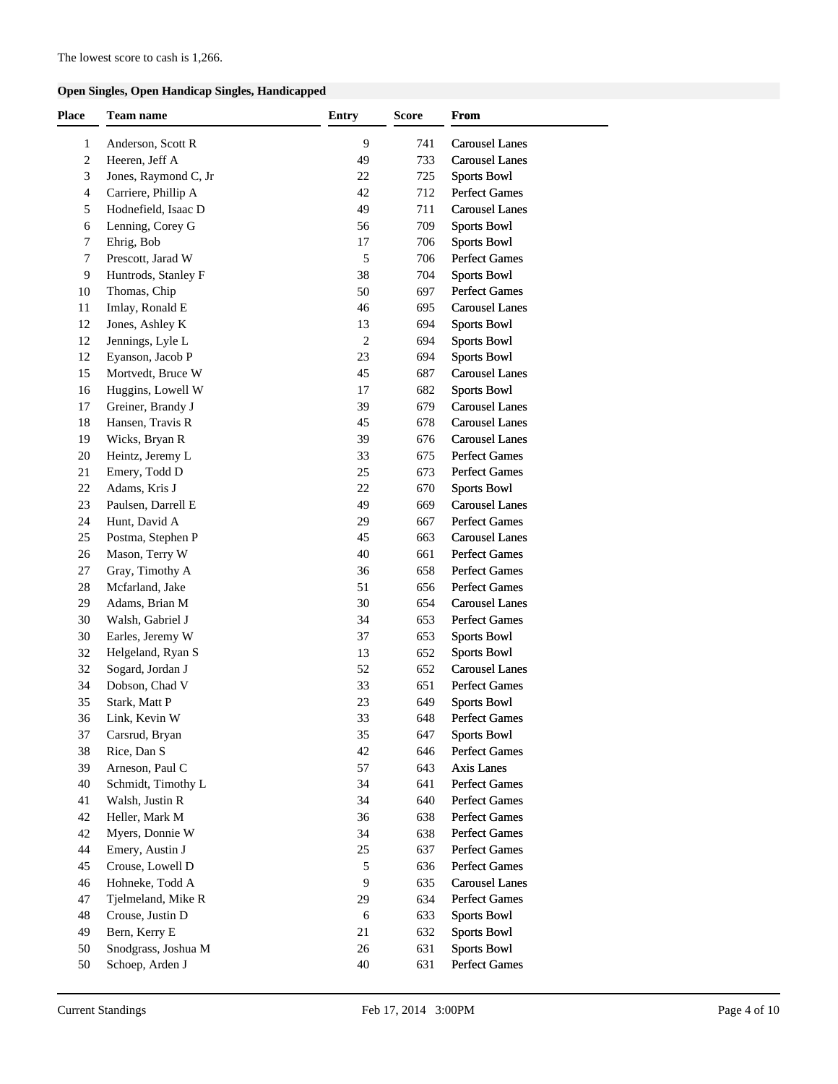### **Open Singles, Open Handicap Singles, Handicapped**

| 9<br><b>Carousel Lanes</b><br>$\mathbf{1}$<br>Anderson, Scott R<br>741<br>$\mathbf{2}$<br>Heeren, Jeff A<br>49<br><b>Carousel Lanes</b><br>733<br>3<br>Jones, Raymond C, Jr<br><b>Sports Bowl</b><br>22<br>725<br><b>Perfect Games</b><br>$\overline{4}$<br>Carriere, Phillip A<br>42<br>712<br>Hodnefield, Isaac D<br>49<br><b>Carousel Lanes</b><br>5<br>711<br>Lenning, Corey G<br>56<br><b>Sports Bowl</b><br>6<br>709<br>Ehrig, Bob<br><b>Sports Bowl</b><br>7<br>17<br>706<br>$\sqrt{5}$<br>7<br>Prescott, Jarad W<br><b>Perfect Games</b><br>706<br>9<br>Huntrods, Stanley F<br>38<br><b>Sports Bowl</b><br>704<br>Thomas, Chip<br>50<br><b>Perfect Games</b><br>10<br>697<br>Imlay, Ronald E<br>46<br><b>Carousel Lanes</b><br>11<br>695<br>12<br>Jones, Ashley K<br><b>Sports Bowl</b><br>13<br>694<br>Jennings, Lyle L<br>2<br><b>Sports Bowl</b><br>12<br>694<br>Eyanson, Jacob P<br>23<br><b>Sports Bowl</b><br>12<br>694<br>Mortvedt, Bruce W<br>45<br><b>Carousel Lanes</b><br>15<br>687<br>Huggins, Lowell W<br><b>Sports Bowl</b><br>16<br>17<br>682<br><b>Carousel Lanes</b><br>Greiner, Brandy J<br>39<br>17<br>679<br>18<br>Hansen, Travis R<br>45<br><b>Carousel Lanes</b><br>678<br>Wicks, Bryan R<br>39<br><b>Carousel Lanes</b><br>19<br>676<br>20<br>Heintz, Jeremy L<br>33<br><b>Perfect Games</b><br>675<br><b>Perfect Games</b><br>21<br>Emery, Todd D<br>25<br>673<br>22<br>Adams, Kris J<br>22<br><b>Sports Bowl</b><br>670<br><b>Carousel Lanes</b><br>Paulsen, Darrell E<br>49<br>23<br>669<br><b>Perfect Games</b><br>24<br>Hunt, David A<br>29<br>667<br>Postma, Stephen P<br>45<br><b>Carousel Lanes</b><br>25<br>663<br>Mason, Terry W<br>40<br><b>Perfect Games</b><br>26<br>661<br><b>Perfect Games</b><br>Gray, Timothy A<br>36<br>27<br>658<br><b>Perfect Games</b><br>28<br>Mcfarland, Jake<br>51<br>656<br>29<br>Adams, Brian M<br>30<br><b>Carousel Lanes</b><br>654<br>30<br>Walsh, Gabriel J<br>34<br><b>Perfect Games</b><br>653<br>30<br>Earles, Jeremy W<br>37<br><b>Sports Bowl</b><br>653<br>Helgeland, Ryan S<br>13<br><b>Sports Bowl</b><br>32<br>652<br><b>Carousel Lanes</b><br>Sogard, Jordan J<br>52<br>32<br>652<br>34<br>Dobson, Chad V<br>33<br><b>Perfect Games</b><br>651<br>35<br>23<br>649<br><b>Sports Bowl</b><br>Stark, Matt P<br>33<br>36<br>648<br>Link, Kevin W<br>Perfect Games<br>37<br>Carsrud, Bryan<br>35<br>647<br><b>Sports Bowl</b><br>38<br>Rice, Dan S<br>42<br>Perfect Games<br>646<br>39<br>Arneson, Paul C<br>57<br>Axis Lanes<br>643<br>40<br>Schmidt, Timothy L<br>34<br><b>Perfect Games</b><br>641<br>34<br><b>Perfect Games</b><br>41<br>Walsh, Justin R<br>640<br>36<br><b>Perfect Games</b><br>42<br>Heller, Mark M<br>638<br>42<br>Myers, Donnie W<br>34<br><b>Perfect Games</b><br>638<br>44<br>Emery, Austin J<br><b>Perfect Games</b><br>25<br>637<br>Crouse, Lowell D<br>5<br><b>Perfect Games</b><br>45<br>636<br>Hohneke, Todd A<br>9<br><b>Carousel Lanes</b><br>46<br>635<br><b>Perfect Games</b><br>47<br>Tjelmeland, Mike R<br>29<br>634<br>48<br>Crouse, Justin D<br>$\sqrt{6}$<br><b>Sports Bowl</b><br>633<br>49<br>Bern, Kerry E<br>21<br><b>Sports Bowl</b><br>632<br>50<br>Snodgrass, Joshua M<br>26<br><b>Sports Bowl</b><br>631 | <b>Place</b> | Team name | <b>Entry</b> | <b>Score</b> | <b>From</b> |
|--------------------------------------------------------------------------------------------------------------------------------------------------------------------------------------------------------------------------------------------------------------------------------------------------------------------------------------------------------------------------------------------------------------------------------------------------------------------------------------------------------------------------------------------------------------------------------------------------------------------------------------------------------------------------------------------------------------------------------------------------------------------------------------------------------------------------------------------------------------------------------------------------------------------------------------------------------------------------------------------------------------------------------------------------------------------------------------------------------------------------------------------------------------------------------------------------------------------------------------------------------------------------------------------------------------------------------------------------------------------------------------------------------------------------------------------------------------------------------------------------------------------------------------------------------------------------------------------------------------------------------------------------------------------------------------------------------------------------------------------------------------------------------------------------------------------------------------------------------------------------------------------------------------------------------------------------------------------------------------------------------------------------------------------------------------------------------------------------------------------------------------------------------------------------------------------------------------------------------------------------------------------------------------------------------------------------------------------------------------------------------------------------------------------------------------------------------------------------------------------------------------------------------------------------------------------------------------------------------------------------------------------------------------------------------------------------------------------------------------------------------------------------------------------------------------------------------------------------------------------------------------------------------------------------------------------------------------------------------------------------------------------------------------------------------------------------------------------------------------------------------------------------------------------------------------------------------------------------------------------|--------------|-----------|--------------|--------------|-------------|
|                                                                                                                                                                                                                                                                                                                                                                                                                                                                                                                                                                                                                                                                                                                                                                                                                                                                                                                                                                                                                                                                                                                                                                                                                                                                                                                                                                                                                                                                                                                                                                                                                                                                                                                                                                                                                                                                                                                                                                                                                                                                                                                                                                                                                                                                                                                                                                                                                                                                                                                                                                                                                                                                                                                                                                                                                                                                                                                                                                                                                                                                                                                                                                                                                                            |              |           |              |              |             |
|                                                                                                                                                                                                                                                                                                                                                                                                                                                                                                                                                                                                                                                                                                                                                                                                                                                                                                                                                                                                                                                                                                                                                                                                                                                                                                                                                                                                                                                                                                                                                                                                                                                                                                                                                                                                                                                                                                                                                                                                                                                                                                                                                                                                                                                                                                                                                                                                                                                                                                                                                                                                                                                                                                                                                                                                                                                                                                                                                                                                                                                                                                                                                                                                                                            |              |           |              |              |             |
|                                                                                                                                                                                                                                                                                                                                                                                                                                                                                                                                                                                                                                                                                                                                                                                                                                                                                                                                                                                                                                                                                                                                                                                                                                                                                                                                                                                                                                                                                                                                                                                                                                                                                                                                                                                                                                                                                                                                                                                                                                                                                                                                                                                                                                                                                                                                                                                                                                                                                                                                                                                                                                                                                                                                                                                                                                                                                                                                                                                                                                                                                                                                                                                                                                            |              |           |              |              |             |
|                                                                                                                                                                                                                                                                                                                                                                                                                                                                                                                                                                                                                                                                                                                                                                                                                                                                                                                                                                                                                                                                                                                                                                                                                                                                                                                                                                                                                                                                                                                                                                                                                                                                                                                                                                                                                                                                                                                                                                                                                                                                                                                                                                                                                                                                                                                                                                                                                                                                                                                                                                                                                                                                                                                                                                                                                                                                                                                                                                                                                                                                                                                                                                                                                                            |              |           |              |              |             |
|                                                                                                                                                                                                                                                                                                                                                                                                                                                                                                                                                                                                                                                                                                                                                                                                                                                                                                                                                                                                                                                                                                                                                                                                                                                                                                                                                                                                                                                                                                                                                                                                                                                                                                                                                                                                                                                                                                                                                                                                                                                                                                                                                                                                                                                                                                                                                                                                                                                                                                                                                                                                                                                                                                                                                                                                                                                                                                                                                                                                                                                                                                                                                                                                                                            |              |           |              |              |             |
|                                                                                                                                                                                                                                                                                                                                                                                                                                                                                                                                                                                                                                                                                                                                                                                                                                                                                                                                                                                                                                                                                                                                                                                                                                                                                                                                                                                                                                                                                                                                                                                                                                                                                                                                                                                                                                                                                                                                                                                                                                                                                                                                                                                                                                                                                                                                                                                                                                                                                                                                                                                                                                                                                                                                                                                                                                                                                                                                                                                                                                                                                                                                                                                                                                            |              |           |              |              |             |
|                                                                                                                                                                                                                                                                                                                                                                                                                                                                                                                                                                                                                                                                                                                                                                                                                                                                                                                                                                                                                                                                                                                                                                                                                                                                                                                                                                                                                                                                                                                                                                                                                                                                                                                                                                                                                                                                                                                                                                                                                                                                                                                                                                                                                                                                                                                                                                                                                                                                                                                                                                                                                                                                                                                                                                                                                                                                                                                                                                                                                                                                                                                                                                                                                                            |              |           |              |              |             |
|                                                                                                                                                                                                                                                                                                                                                                                                                                                                                                                                                                                                                                                                                                                                                                                                                                                                                                                                                                                                                                                                                                                                                                                                                                                                                                                                                                                                                                                                                                                                                                                                                                                                                                                                                                                                                                                                                                                                                                                                                                                                                                                                                                                                                                                                                                                                                                                                                                                                                                                                                                                                                                                                                                                                                                                                                                                                                                                                                                                                                                                                                                                                                                                                                                            |              |           |              |              |             |
|                                                                                                                                                                                                                                                                                                                                                                                                                                                                                                                                                                                                                                                                                                                                                                                                                                                                                                                                                                                                                                                                                                                                                                                                                                                                                                                                                                                                                                                                                                                                                                                                                                                                                                                                                                                                                                                                                                                                                                                                                                                                                                                                                                                                                                                                                                                                                                                                                                                                                                                                                                                                                                                                                                                                                                                                                                                                                                                                                                                                                                                                                                                                                                                                                                            |              |           |              |              |             |
|                                                                                                                                                                                                                                                                                                                                                                                                                                                                                                                                                                                                                                                                                                                                                                                                                                                                                                                                                                                                                                                                                                                                                                                                                                                                                                                                                                                                                                                                                                                                                                                                                                                                                                                                                                                                                                                                                                                                                                                                                                                                                                                                                                                                                                                                                                                                                                                                                                                                                                                                                                                                                                                                                                                                                                                                                                                                                                                                                                                                                                                                                                                                                                                                                                            |              |           |              |              |             |
|                                                                                                                                                                                                                                                                                                                                                                                                                                                                                                                                                                                                                                                                                                                                                                                                                                                                                                                                                                                                                                                                                                                                                                                                                                                                                                                                                                                                                                                                                                                                                                                                                                                                                                                                                                                                                                                                                                                                                                                                                                                                                                                                                                                                                                                                                                                                                                                                                                                                                                                                                                                                                                                                                                                                                                                                                                                                                                                                                                                                                                                                                                                                                                                                                                            |              |           |              |              |             |
|                                                                                                                                                                                                                                                                                                                                                                                                                                                                                                                                                                                                                                                                                                                                                                                                                                                                                                                                                                                                                                                                                                                                                                                                                                                                                                                                                                                                                                                                                                                                                                                                                                                                                                                                                                                                                                                                                                                                                                                                                                                                                                                                                                                                                                                                                                                                                                                                                                                                                                                                                                                                                                                                                                                                                                                                                                                                                                                                                                                                                                                                                                                                                                                                                                            |              |           |              |              |             |
|                                                                                                                                                                                                                                                                                                                                                                                                                                                                                                                                                                                                                                                                                                                                                                                                                                                                                                                                                                                                                                                                                                                                                                                                                                                                                                                                                                                                                                                                                                                                                                                                                                                                                                                                                                                                                                                                                                                                                                                                                                                                                                                                                                                                                                                                                                                                                                                                                                                                                                                                                                                                                                                                                                                                                                                                                                                                                                                                                                                                                                                                                                                                                                                                                                            |              |           |              |              |             |
|                                                                                                                                                                                                                                                                                                                                                                                                                                                                                                                                                                                                                                                                                                                                                                                                                                                                                                                                                                                                                                                                                                                                                                                                                                                                                                                                                                                                                                                                                                                                                                                                                                                                                                                                                                                                                                                                                                                                                                                                                                                                                                                                                                                                                                                                                                                                                                                                                                                                                                                                                                                                                                                                                                                                                                                                                                                                                                                                                                                                                                                                                                                                                                                                                                            |              |           |              |              |             |
|                                                                                                                                                                                                                                                                                                                                                                                                                                                                                                                                                                                                                                                                                                                                                                                                                                                                                                                                                                                                                                                                                                                                                                                                                                                                                                                                                                                                                                                                                                                                                                                                                                                                                                                                                                                                                                                                                                                                                                                                                                                                                                                                                                                                                                                                                                                                                                                                                                                                                                                                                                                                                                                                                                                                                                                                                                                                                                                                                                                                                                                                                                                                                                                                                                            |              |           |              |              |             |
|                                                                                                                                                                                                                                                                                                                                                                                                                                                                                                                                                                                                                                                                                                                                                                                                                                                                                                                                                                                                                                                                                                                                                                                                                                                                                                                                                                                                                                                                                                                                                                                                                                                                                                                                                                                                                                                                                                                                                                                                                                                                                                                                                                                                                                                                                                                                                                                                                                                                                                                                                                                                                                                                                                                                                                                                                                                                                                                                                                                                                                                                                                                                                                                                                                            |              |           |              |              |             |
|                                                                                                                                                                                                                                                                                                                                                                                                                                                                                                                                                                                                                                                                                                                                                                                                                                                                                                                                                                                                                                                                                                                                                                                                                                                                                                                                                                                                                                                                                                                                                                                                                                                                                                                                                                                                                                                                                                                                                                                                                                                                                                                                                                                                                                                                                                                                                                                                                                                                                                                                                                                                                                                                                                                                                                                                                                                                                                                                                                                                                                                                                                                                                                                                                                            |              |           |              |              |             |
|                                                                                                                                                                                                                                                                                                                                                                                                                                                                                                                                                                                                                                                                                                                                                                                                                                                                                                                                                                                                                                                                                                                                                                                                                                                                                                                                                                                                                                                                                                                                                                                                                                                                                                                                                                                                                                                                                                                                                                                                                                                                                                                                                                                                                                                                                                                                                                                                                                                                                                                                                                                                                                                                                                                                                                                                                                                                                                                                                                                                                                                                                                                                                                                                                                            |              |           |              |              |             |
|                                                                                                                                                                                                                                                                                                                                                                                                                                                                                                                                                                                                                                                                                                                                                                                                                                                                                                                                                                                                                                                                                                                                                                                                                                                                                                                                                                                                                                                                                                                                                                                                                                                                                                                                                                                                                                                                                                                                                                                                                                                                                                                                                                                                                                                                                                                                                                                                                                                                                                                                                                                                                                                                                                                                                                                                                                                                                                                                                                                                                                                                                                                                                                                                                                            |              |           |              |              |             |
|                                                                                                                                                                                                                                                                                                                                                                                                                                                                                                                                                                                                                                                                                                                                                                                                                                                                                                                                                                                                                                                                                                                                                                                                                                                                                                                                                                                                                                                                                                                                                                                                                                                                                                                                                                                                                                                                                                                                                                                                                                                                                                                                                                                                                                                                                                                                                                                                                                                                                                                                                                                                                                                                                                                                                                                                                                                                                                                                                                                                                                                                                                                                                                                                                                            |              |           |              |              |             |
|                                                                                                                                                                                                                                                                                                                                                                                                                                                                                                                                                                                                                                                                                                                                                                                                                                                                                                                                                                                                                                                                                                                                                                                                                                                                                                                                                                                                                                                                                                                                                                                                                                                                                                                                                                                                                                                                                                                                                                                                                                                                                                                                                                                                                                                                                                                                                                                                                                                                                                                                                                                                                                                                                                                                                                                                                                                                                                                                                                                                                                                                                                                                                                                                                                            |              |           |              |              |             |
|                                                                                                                                                                                                                                                                                                                                                                                                                                                                                                                                                                                                                                                                                                                                                                                                                                                                                                                                                                                                                                                                                                                                                                                                                                                                                                                                                                                                                                                                                                                                                                                                                                                                                                                                                                                                                                                                                                                                                                                                                                                                                                                                                                                                                                                                                                                                                                                                                                                                                                                                                                                                                                                                                                                                                                                                                                                                                                                                                                                                                                                                                                                                                                                                                                            |              |           |              |              |             |
|                                                                                                                                                                                                                                                                                                                                                                                                                                                                                                                                                                                                                                                                                                                                                                                                                                                                                                                                                                                                                                                                                                                                                                                                                                                                                                                                                                                                                                                                                                                                                                                                                                                                                                                                                                                                                                                                                                                                                                                                                                                                                                                                                                                                                                                                                                                                                                                                                                                                                                                                                                                                                                                                                                                                                                                                                                                                                                                                                                                                                                                                                                                                                                                                                                            |              |           |              |              |             |
|                                                                                                                                                                                                                                                                                                                                                                                                                                                                                                                                                                                                                                                                                                                                                                                                                                                                                                                                                                                                                                                                                                                                                                                                                                                                                                                                                                                                                                                                                                                                                                                                                                                                                                                                                                                                                                                                                                                                                                                                                                                                                                                                                                                                                                                                                                                                                                                                                                                                                                                                                                                                                                                                                                                                                                                                                                                                                                                                                                                                                                                                                                                                                                                                                                            |              |           |              |              |             |
|                                                                                                                                                                                                                                                                                                                                                                                                                                                                                                                                                                                                                                                                                                                                                                                                                                                                                                                                                                                                                                                                                                                                                                                                                                                                                                                                                                                                                                                                                                                                                                                                                                                                                                                                                                                                                                                                                                                                                                                                                                                                                                                                                                                                                                                                                                                                                                                                                                                                                                                                                                                                                                                                                                                                                                                                                                                                                                                                                                                                                                                                                                                                                                                                                                            |              |           |              |              |             |
|                                                                                                                                                                                                                                                                                                                                                                                                                                                                                                                                                                                                                                                                                                                                                                                                                                                                                                                                                                                                                                                                                                                                                                                                                                                                                                                                                                                                                                                                                                                                                                                                                                                                                                                                                                                                                                                                                                                                                                                                                                                                                                                                                                                                                                                                                                                                                                                                                                                                                                                                                                                                                                                                                                                                                                                                                                                                                                                                                                                                                                                                                                                                                                                                                                            |              |           |              |              |             |
|                                                                                                                                                                                                                                                                                                                                                                                                                                                                                                                                                                                                                                                                                                                                                                                                                                                                                                                                                                                                                                                                                                                                                                                                                                                                                                                                                                                                                                                                                                                                                                                                                                                                                                                                                                                                                                                                                                                                                                                                                                                                                                                                                                                                                                                                                                                                                                                                                                                                                                                                                                                                                                                                                                                                                                                                                                                                                                                                                                                                                                                                                                                                                                                                                                            |              |           |              |              |             |
|                                                                                                                                                                                                                                                                                                                                                                                                                                                                                                                                                                                                                                                                                                                                                                                                                                                                                                                                                                                                                                                                                                                                                                                                                                                                                                                                                                                                                                                                                                                                                                                                                                                                                                                                                                                                                                                                                                                                                                                                                                                                                                                                                                                                                                                                                                                                                                                                                                                                                                                                                                                                                                                                                                                                                                                                                                                                                                                                                                                                                                                                                                                                                                                                                                            |              |           |              |              |             |
|                                                                                                                                                                                                                                                                                                                                                                                                                                                                                                                                                                                                                                                                                                                                                                                                                                                                                                                                                                                                                                                                                                                                                                                                                                                                                                                                                                                                                                                                                                                                                                                                                                                                                                                                                                                                                                                                                                                                                                                                                                                                                                                                                                                                                                                                                                                                                                                                                                                                                                                                                                                                                                                                                                                                                                                                                                                                                                                                                                                                                                                                                                                                                                                                                                            |              |           |              |              |             |
|                                                                                                                                                                                                                                                                                                                                                                                                                                                                                                                                                                                                                                                                                                                                                                                                                                                                                                                                                                                                                                                                                                                                                                                                                                                                                                                                                                                                                                                                                                                                                                                                                                                                                                                                                                                                                                                                                                                                                                                                                                                                                                                                                                                                                                                                                                                                                                                                                                                                                                                                                                                                                                                                                                                                                                                                                                                                                                                                                                                                                                                                                                                                                                                                                                            |              |           |              |              |             |
|                                                                                                                                                                                                                                                                                                                                                                                                                                                                                                                                                                                                                                                                                                                                                                                                                                                                                                                                                                                                                                                                                                                                                                                                                                                                                                                                                                                                                                                                                                                                                                                                                                                                                                                                                                                                                                                                                                                                                                                                                                                                                                                                                                                                                                                                                                                                                                                                                                                                                                                                                                                                                                                                                                                                                                                                                                                                                                                                                                                                                                                                                                                                                                                                                                            |              |           |              |              |             |
|                                                                                                                                                                                                                                                                                                                                                                                                                                                                                                                                                                                                                                                                                                                                                                                                                                                                                                                                                                                                                                                                                                                                                                                                                                                                                                                                                                                                                                                                                                                                                                                                                                                                                                                                                                                                                                                                                                                                                                                                                                                                                                                                                                                                                                                                                                                                                                                                                                                                                                                                                                                                                                                                                                                                                                                                                                                                                                                                                                                                                                                                                                                                                                                                                                            |              |           |              |              |             |
|                                                                                                                                                                                                                                                                                                                                                                                                                                                                                                                                                                                                                                                                                                                                                                                                                                                                                                                                                                                                                                                                                                                                                                                                                                                                                                                                                                                                                                                                                                                                                                                                                                                                                                                                                                                                                                                                                                                                                                                                                                                                                                                                                                                                                                                                                                                                                                                                                                                                                                                                                                                                                                                                                                                                                                                                                                                                                                                                                                                                                                                                                                                                                                                                                                            |              |           |              |              |             |
|                                                                                                                                                                                                                                                                                                                                                                                                                                                                                                                                                                                                                                                                                                                                                                                                                                                                                                                                                                                                                                                                                                                                                                                                                                                                                                                                                                                                                                                                                                                                                                                                                                                                                                                                                                                                                                                                                                                                                                                                                                                                                                                                                                                                                                                                                                                                                                                                                                                                                                                                                                                                                                                                                                                                                                                                                                                                                                                                                                                                                                                                                                                                                                                                                                            |              |           |              |              |             |
|                                                                                                                                                                                                                                                                                                                                                                                                                                                                                                                                                                                                                                                                                                                                                                                                                                                                                                                                                                                                                                                                                                                                                                                                                                                                                                                                                                                                                                                                                                                                                                                                                                                                                                                                                                                                                                                                                                                                                                                                                                                                                                                                                                                                                                                                                                                                                                                                                                                                                                                                                                                                                                                                                                                                                                                                                                                                                                                                                                                                                                                                                                                                                                                                                                            |              |           |              |              |             |
|                                                                                                                                                                                                                                                                                                                                                                                                                                                                                                                                                                                                                                                                                                                                                                                                                                                                                                                                                                                                                                                                                                                                                                                                                                                                                                                                                                                                                                                                                                                                                                                                                                                                                                                                                                                                                                                                                                                                                                                                                                                                                                                                                                                                                                                                                                                                                                                                                                                                                                                                                                                                                                                                                                                                                                                                                                                                                                                                                                                                                                                                                                                                                                                                                                            |              |           |              |              |             |
|                                                                                                                                                                                                                                                                                                                                                                                                                                                                                                                                                                                                                                                                                                                                                                                                                                                                                                                                                                                                                                                                                                                                                                                                                                                                                                                                                                                                                                                                                                                                                                                                                                                                                                                                                                                                                                                                                                                                                                                                                                                                                                                                                                                                                                                                                                                                                                                                                                                                                                                                                                                                                                                                                                                                                                                                                                                                                                                                                                                                                                                                                                                                                                                                                                            |              |           |              |              |             |
|                                                                                                                                                                                                                                                                                                                                                                                                                                                                                                                                                                                                                                                                                                                                                                                                                                                                                                                                                                                                                                                                                                                                                                                                                                                                                                                                                                                                                                                                                                                                                                                                                                                                                                                                                                                                                                                                                                                                                                                                                                                                                                                                                                                                                                                                                                                                                                                                                                                                                                                                                                                                                                                                                                                                                                                                                                                                                                                                                                                                                                                                                                                                                                                                                                            |              |           |              |              |             |
|                                                                                                                                                                                                                                                                                                                                                                                                                                                                                                                                                                                                                                                                                                                                                                                                                                                                                                                                                                                                                                                                                                                                                                                                                                                                                                                                                                                                                                                                                                                                                                                                                                                                                                                                                                                                                                                                                                                                                                                                                                                                                                                                                                                                                                                                                                                                                                                                                                                                                                                                                                                                                                                                                                                                                                                                                                                                                                                                                                                                                                                                                                                                                                                                                                            |              |           |              |              |             |
|                                                                                                                                                                                                                                                                                                                                                                                                                                                                                                                                                                                                                                                                                                                                                                                                                                                                                                                                                                                                                                                                                                                                                                                                                                                                                                                                                                                                                                                                                                                                                                                                                                                                                                                                                                                                                                                                                                                                                                                                                                                                                                                                                                                                                                                                                                                                                                                                                                                                                                                                                                                                                                                                                                                                                                                                                                                                                                                                                                                                                                                                                                                                                                                                                                            |              |           |              |              |             |
|                                                                                                                                                                                                                                                                                                                                                                                                                                                                                                                                                                                                                                                                                                                                                                                                                                                                                                                                                                                                                                                                                                                                                                                                                                                                                                                                                                                                                                                                                                                                                                                                                                                                                                                                                                                                                                                                                                                                                                                                                                                                                                                                                                                                                                                                                                                                                                                                                                                                                                                                                                                                                                                                                                                                                                                                                                                                                                                                                                                                                                                                                                                                                                                                                                            |              |           |              |              |             |
|                                                                                                                                                                                                                                                                                                                                                                                                                                                                                                                                                                                                                                                                                                                                                                                                                                                                                                                                                                                                                                                                                                                                                                                                                                                                                                                                                                                                                                                                                                                                                                                                                                                                                                                                                                                                                                                                                                                                                                                                                                                                                                                                                                                                                                                                                                                                                                                                                                                                                                                                                                                                                                                                                                                                                                                                                                                                                                                                                                                                                                                                                                                                                                                                                                            |              |           |              |              |             |
|                                                                                                                                                                                                                                                                                                                                                                                                                                                                                                                                                                                                                                                                                                                                                                                                                                                                                                                                                                                                                                                                                                                                                                                                                                                                                                                                                                                                                                                                                                                                                                                                                                                                                                                                                                                                                                                                                                                                                                                                                                                                                                                                                                                                                                                                                                                                                                                                                                                                                                                                                                                                                                                                                                                                                                                                                                                                                                                                                                                                                                                                                                                                                                                                                                            |              |           |              |              |             |
|                                                                                                                                                                                                                                                                                                                                                                                                                                                                                                                                                                                                                                                                                                                                                                                                                                                                                                                                                                                                                                                                                                                                                                                                                                                                                                                                                                                                                                                                                                                                                                                                                                                                                                                                                                                                                                                                                                                                                                                                                                                                                                                                                                                                                                                                                                                                                                                                                                                                                                                                                                                                                                                                                                                                                                                                                                                                                                                                                                                                                                                                                                                                                                                                                                            |              |           |              |              |             |
|                                                                                                                                                                                                                                                                                                                                                                                                                                                                                                                                                                                                                                                                                                                                                                                                                                                                                                                                                                                                                                                                                                                                                                                                                                                                                                                                                                                                                                                                                                                                                                                                                                                                                                                                                                                                                                                                                                                                                                                                                                                                                                                                                                                                                                                                                                                                                                                                                                                                                                                                                                                                                                                                                                                                                                                                                                                                                                                                                                                                                                                                                                                                                                                                                                            |              |           |              |              |             |
|                                                                                                                                                                                                                                                                                                                                                                                                                                                                                                                                                                                                                                                                                                                                                                                                                                                                                                                                                                                                                                                                                                                                                                                                                                                                                                                                                                                                                                                                                                                                                                                                                                                                                                                                                                                                                                                                                                                                                                                                                                                                                                                                                                                                                                                                                                                                                                                                                                                                                                                                                                                                                                                                                                                                                                                                                                                                                                                                                                                                                                                                                                                                                                                                                                            |              |           |              |              |             |
|                                                                                                                                                                                                                                                                                                                                                                                                                                                                                                                                                                                                                                                                                                                                                                                                                                                                                                                                                                                                                                                                                                                                                                                                                                                                                                                                                                                                                                                                                                                                                                                                                                                                                                                                                                                                                                                                                                                                                                                                                                                                                                                                                                                                                                                                                                                                                                                                                                                                                                                                                                                                                                                                                                                                                                                                                                                                                                                                                                                                                                                                                                                                                                                                                                            |              |           |              |              |             |
|                                                                                                                                                                                                                                                                                                                                                                                                                                                                                                                                                                                                                                                                                                                                                                                                                                                                                                                                                                                                                                                                                                                                                                                                                                                                                                                                                                                                                                                                                                                                                                                                                                                                                                                                                                                                                                                                                                                                                                                                                                                                                                                                                                                                                                                                                                                                                                                                                                                                                                                                                                                                                                                                                                                                                                                                                                                                                                                                                                                                                                                                                                                                                                                                                                            |              |           |              |              |             |
|                                                                                                                                                                                                                                                                                                                                                                                                                                                                                                                                                                                                                                                                                                                                                                                                                                                                                                                                                                                                                                                                                                                                                                                                                                                                                                                                                                                                                                                                                                                                                                                                                                                                                                                                                                                                                                                                                                                                                                                                                                                                                                                                                                                                                                                                                                                                                                                                                                                                                                                                                                                                                                                                                                                                                                                                                                                                                                                                                                                                                                                                                                                                                                                                                                            |              |           |              |              |             |
|                                                                                                                                                                                                                                                                                                                                                                                                                                                                                                                                                                                                                                                                                                                                                                                                                                                                                                                                                                                                                                                                                                                                                                                                                                                                                                                                                                                                                                                                                                                                                                                                                                                                                                                                                                                                                                                                                                                                                                                                                                                                                                                                                                                                                                                                                                                                                                                                                                                                                                                                                                                                                                                                                                                                                                                                                                                                                                                                                                                                                                                                                                                                                                                                                                            |              |           |              |              |             |
| 50<br>Schoep, Arden J<br>40<br>Perfect Games<br>631                                                                                                                                                                                                                                                                                                                                                                                                                                                                                                                                                                                                                                                                                                                                                                                                                                                                                                                                                                                                                                                                                                                                                                                                                                                                                                                                                                                                                                                                                                                                                                                                                                                                                                                                                                                                                                                                                                                                                                                                                                                                                                                                                                                                                                                                                                                                                                                                                                                                                                                                                                                                                                                                                                                                                                                                                                                                                                                                                                                                                                                                                                                                                                                        |              |           |              |              |             |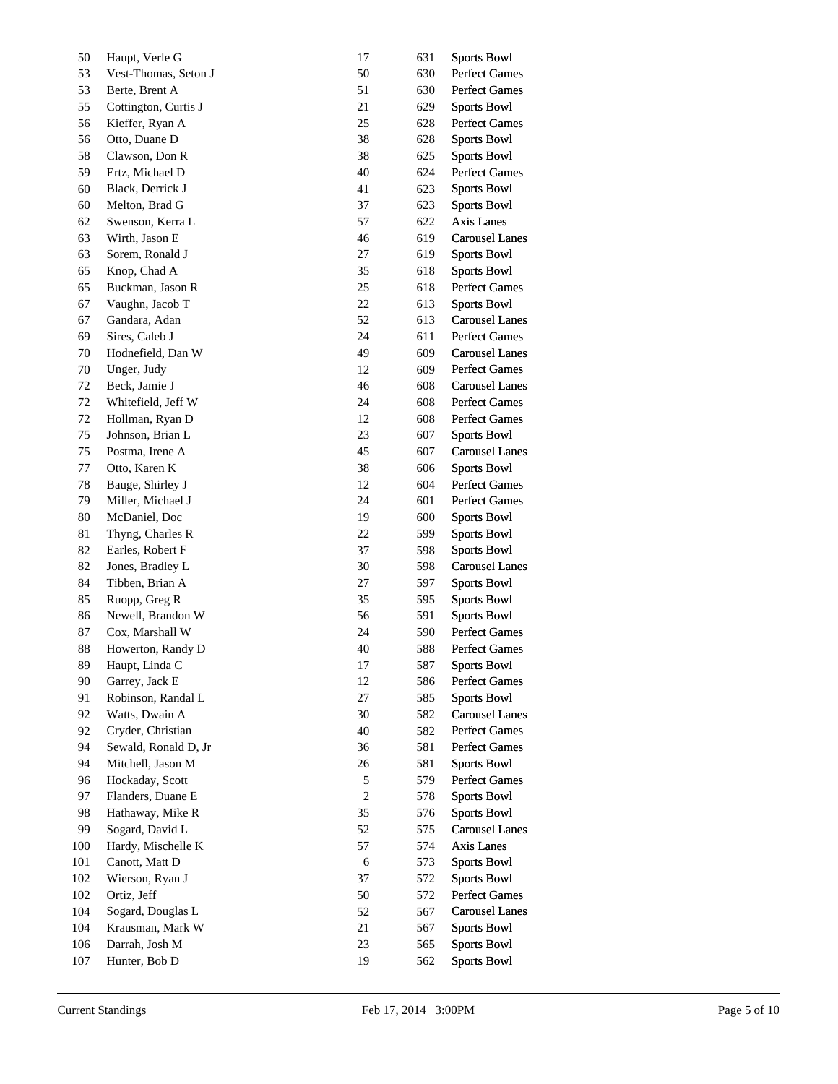| 50       | Haupt, Verle G                       | 17         | 631        | <b>Sports Bowl</b>                         |
|----------|--------------------------------------|------------|------------|--------------------------------------------|
| 53       | Vest-Thomas, Seton J                 | 50         | 630        | Perfect Games                              |
| 53       | Berte, Brent A                       | 51         | 630        | Perfect Games                              |
| 55       | Cottington, Curtis J                 | 21         | 629        | <b>Sports Bowl</b>                         |
| 56       | Kieffer, Ryan A                      | 25         | 628        | <b>Perfect Games</b>                       |
| 56       | Otto, Duane D                        | 38         | 628        | <b>Sports Bowl</b>                         |
| 58       | Clawson, Don R                       | 38         | 625        | <b>Sports Bowl</b>                         |
| 59       | Ertz, Michael D                      | 40         | 624        | <b>Perfect Games</b>                       |
| 60       | Black, Derrick J                     | 41         | 623        | <b>Sports Bowl</b>                         |
| 60       | Melton, Brad G                       | 37         | 623        | <b>Sports Bowl</b>                         |
| 62       | Swenson, Kerra L                     | 57         | 622        | Axis Lanes                                 |
| 63       | Wirth, Jason E                       | 46         | 619        | <b>Carousel Lanes</b>                      |
| 63       | Sorem, Ronald J                      | 27         | 619        | <b>Sports Bowl</b>                         |
| 65       | Knop, Chad A                         | 35         | 618        | <b>Sports Bowl</b>                         |
| 65       | Buckman, Jason R                     | 25         | 618        | <b>Perfect Games</b>                       |
| 67       | Vaughn, Jacob T                      | $22\,$     | 613        | <b>Sports Bowl</b>                         |
| 67       | Gandara, Adan                        | 52         | 613        | <b>Carousel Lanes</b>                      |
| 69       | Sires, Caleb J                       | 24         | 611        | <b>Perfect Games</b>                       |
| 70       | Hodnefield, Dan W                    | 49         | 609        | <b>Carousel Lanes</b>                      |
| $70\,$   | Unger, Judy                          | 12         | 609        | <b>Perfect Games</b>                       |
| 72       | Beck, Jamie J                        | 46         | 608        | <b>Carousel Lanes</b>                      |
| 72       | Whitefield, Jeff W                   | 24         | 608        | <b>Perfect Games</b>                       |
| 72       | Hollman, Ryan D                      | 12         | 608        | <b>Perfect Games</b>                       |
| 75       | Johnson, Brian L                     | 23         | 607        | <b>Sports Bowl</b>                         |
| 75       | Postma, Irene A                      | 45         | 607        | <b>Carousel Lanes</b>                      |
| 77       | Otto, Karen K                        | 38         | 606        | <b>Sports Bowl</b>                         |
| 78       | Bauge, Shirley J                     | 12         | 604        | <b>Perfect Games</b>                       |
| 79       | Miller, Michael J                    | 24         | 601        | <b>Perfect Games</b>                       |
| 80       | McDaniel, Doc                        | 19         | 600        | <b>Sports Bowl</b>                         |
| 81       | Thyng, Charles R                     | 22         | 599        | <b>Sports Bowl</b>                         |
| 82       | Earles, Robert F                     | 37         | 598        | <b>Sports Bowl</b>                         |
| 82       | Jones, Bradley L                     | 30         | 598        | <b>Carousel Lanes</b>                      |
| 84       | Tibben, Brian A                      | 27         | 597        | <b>Sports Bowl</b>                         |
| 85       | Ruopp, Greg R                        | 35         | 595        | <b>Sports Bowl</b>                         |
| 86       | Newell, Brandon W                    | 56         | 591        | <b>Sports Bowl</b>                         |
| 87       | Cox, Marshall W                      | 24         | 590        | Perfect Games                              |
| 88       |                                      | 40         | 588        | <b>Perfect Games</b>                       |
| 89       | Howerton, Randy D<br>Haupt, Linda C  | 17         | 587        | <b>Sports Bowl</b>                         |
|          |                                      |            |            |                                            |
| 90<br>91 | Garrey, Jack E<br>Robinson, Randal L | 12<br>27   | 586<br>585 | <b>Perfect Games</b><br><b>Sports Bowl</b> |
| 92       | Watts, Dwain A                       | 30         | 582        | <b>Carousel Lanes</b>                      |
| 92       | Cryder, Christian                    | 40         | 582        | <b>Perfect Games</b>                       |
| 94       | Sewald, Ronald D, Jr                 | 36         | 581        | <b>Perfect Games</b>                       |
| 94       | Mitchell, Jason M                    | 26         | 581        | <b>Sports Bowl</b>                         |
| 96       | Hockaday, Scott                      | $\sqrt{5}$ | 579        | Perfect Games                              |
| 97       | Flanders, Duane E                    | $\sqrt{2}$ | 578        | <b>Sports Bowl</b>                         |
|          |                                      |            |            |                                            |
| 98       | Hathaway, Mike R                     | 35         | 576        | <b>Sports Bowl</b>                         |
| 99       | Sogard, David L                      | 52         | 575        | <b>Carousel Lanes</b>                      |
| 100      | Hardy, Mischelle K                   | 57         | 574        | Axis Lanes                                 |
| 101      | Canott, Matt D                       | 6          | 573        | <b>Sports Bowl</b>                         |
| 102      | Wierson, Ryan J                      | 37         | 572        | <b>Sports Bowl</b>                         |
| 102      | Ortiz, Jeff                          | 50         | 572        | Perfect Games                              |
| 104      | Sogard, Douglas L                    | 52         | 567        | <b>Carousel Lanes</b>                      |
| 104      | Krausman, Mark W                     | 21         | 567        | <b>Sports Bowl</b>                         |
| 106      | Darrah, Josh M                       | 23         | 565        | <b>Sports Bowl</b>                         |
| 107      | Hunter, Bob D                        | 19         | 562        | <b>Sports Bowl</b>                         |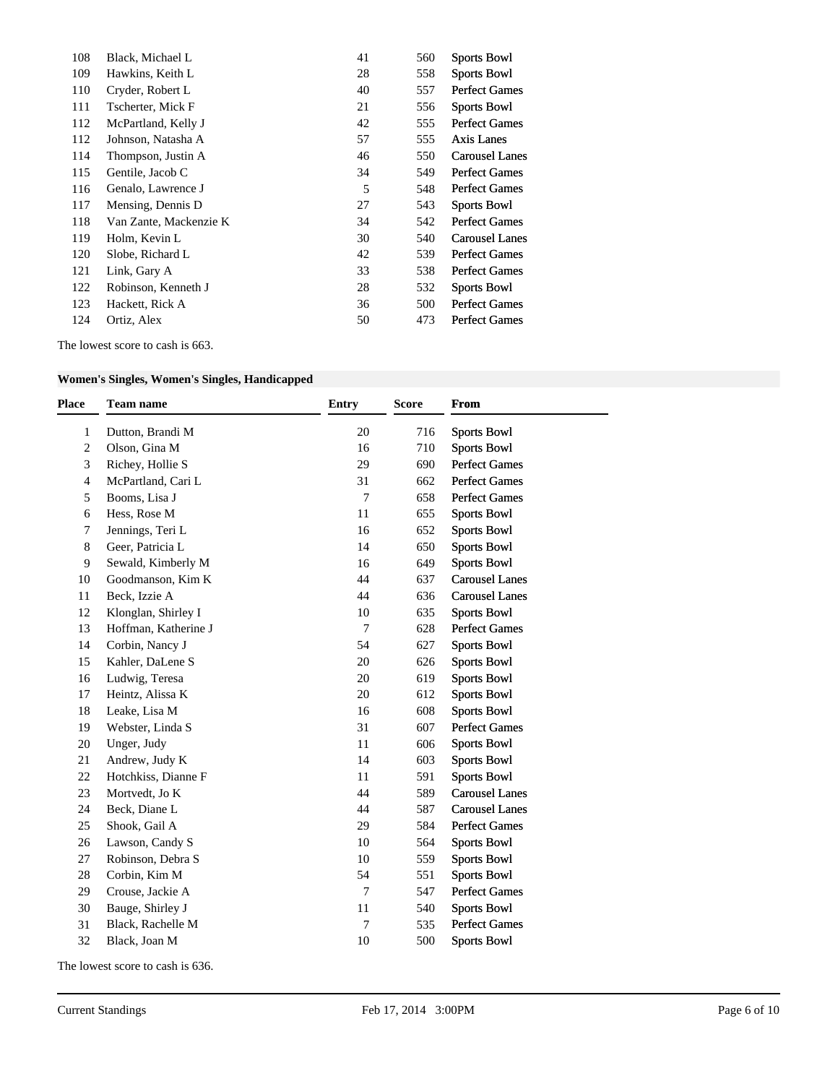| 108 | Black, Michael L       | 41 | 560 | <b>Sports Bowl</b>    |
|-----|------------------------|----|-----|-----------------------|
| 109 | Hawkins, Keith L       | 28 | 558 | <b>Sports Bowl</b>    |
| 110 | Cryder, Robert L       | 40 | 557 | <b>Perfect Games</b>  |
| 111 | Tscherter, Mick F      | 21 | 556 | <b>Sports Bowl</b>    |
| 112 | McPartland, Kelly J    | 42 | 555 | <b>Perfect Games</b>  |
| 112 | Johnson, Natasha A     | 57 | 555 | Axis Lanes            |
| 114 | Thompson, Justin A     | 46 | 550 | <b>Carousel Lanes</b> |
| 115 | Gentile, Jacob C       | 34 | 549 | <b>Perfect Games</b>  |
| 116 | Genalo, Lawrence J     | 5  | 548 | Perfect Games         |
| 117 | Mensing, Dennis D      | 27 | 543 | <b>Sports Bowl</b>    |
| 118 | Van Zante, Mackenzie K | 34 | 542 | <b>Perfect Games</b>  |
| 119 | Holm, Kevin L          | 30 | 540 | <b>Carousel Lanes</b> |
| 120 | Slobe, Richard L       | 42 | 539 | <b>Perfect Games</b>  |
| 121 | Link, Gary A           | 33 | 538 | <b>Perfect Games</b>  |
| 122 | Robinson, Kenneth J    | 28 | 532 | <b>Sports Bowl</b>    |
| 123 | Hackett, Rick A        | 36 | 500 | <b>Perfect Games</b>  |
| 124 | Ortiz, Alex            | 50 | 473 | <b>Perfect Games</b>  |

The lowest score to cash is 663.

# **Women's Singles, Women's Singles, Handicapped**

| <b>Place</b>   | <b>Team name</b>     | <b>Entry</b>   | <b>Score</b> | <b>From</b>           |
|----------------|----------------------|----------------|--------------|-----------------------|
| 1              | Dutton, Brandi M     | 20             | 716          | <b>Sports Bowl</b>    |
| $\overline{2}$ | Olson, Gina M        | 16             | 710          | <b>Sports Bowl</b>    |
| 3              | Richey, Hollie S     | 29             | 690          | <b>Perfect Games</b>  |
| $\overline{4}$ | McPartland, Cari L   | 31             | 662          | <b>Perfect Games</b>  |
| 5              | Booms, Lisa J        | $\overline{7}$ | 658          | <b>Perfect Games</b>  |
| 6              | Hess, Rose M         | 11             | 655          | <b>Sports Bowl</b>    |
| 7              | Jennings, Teri L     | 16             | 652          | <b>Sports Bowl</b>    |
| 8              | Geer, Patricia L     | 14             | 650          | <b>Sports Bowl</b>    |
| 9              | Sewald, Kimberly M   | 16             | 649          | <b>Sports Bowl</b>    |
| 10             | Goodmanson, Kim K    | 44             | 637          | <b>Carousel Lanes</b> |
| 11             | Beck, Izzie A        | 44             | 636          | <b>Carousel Lanes</b> |
| 12             | Klonglan, Shirley I  | 10             | 635          | <b>Sports Bowl</b>    |
| 13             | Hoffman, Katherine J | $\tau$         | 628          | <b>Perfect Games</b>  |
| 14             | Corbin, Nancy J      | 54             | 627          | <b>Sports Bowl</b>    |
| 15             | Kahler, DaLene S     | 20             | 626          | <b>Sports Bowl</b>    |
| 16             | Ludwig, Teresa       | 20             | 619          | <b>Sports Bowl</b>    |
| 17             | Heintz, Alissa K     | 20             | 612          | <b>Sports Bowl</b>    |
| 18             | Leake, Lisa M        | 16             | 608          | <b>Sports Bowl</b>    |
| 19             | Webster, Linda S     | 31             | 607          | <b>Perfect Games</b>  |
| 20             | Unger, Judy          | 11             | 606          | <b>Sports Bowl</b>    |
| 21             | Andrew, Judy K       | 14             | 603          | <b>Sports Bowl</b>    |
| 22             | Hotchkiss, Dianne F  | 11             | 591          | <b>Sports Bowl</b>    |
| 23             | Mortvedt, Jo K       | 44             | 589          | <b>Carousel Lanes</b> |
| 24             | Beck, Diane L        | 44             | 587          | <b>Carousel Lanes</b> |
| 25             | Shook, Gail A        | 29             | 584          | <b>Perfect Games</b>  |
| 26             | Lawson, Candy S      | 10             | 564          | <b>Sports Bowl</b>    |
| 27             | Robinson, Debra S    | 10             | 559          | <b>Sports Bowl</b>    |
| 28             | Corbin, Kim M        | 54             | 551          | <b>Sports Bowl</b>    |
| 29             | Crouse, Jackie A     | $\overline{7}$ | 547          | Perfect Games         |
| 30             | Bauge, Shirley J     | 11             | 540          | <b>Sports Bowl</b>    |
| 31             | Black, Rachelle M    | 7              | 535          | <b>Perfect Games</b>  |
| 32             | Black, Joan M        | 10             | 500          | <b>Sports Bowl</b>    |
|                |                      |                |              |                       |

The lowest score to cash is 636.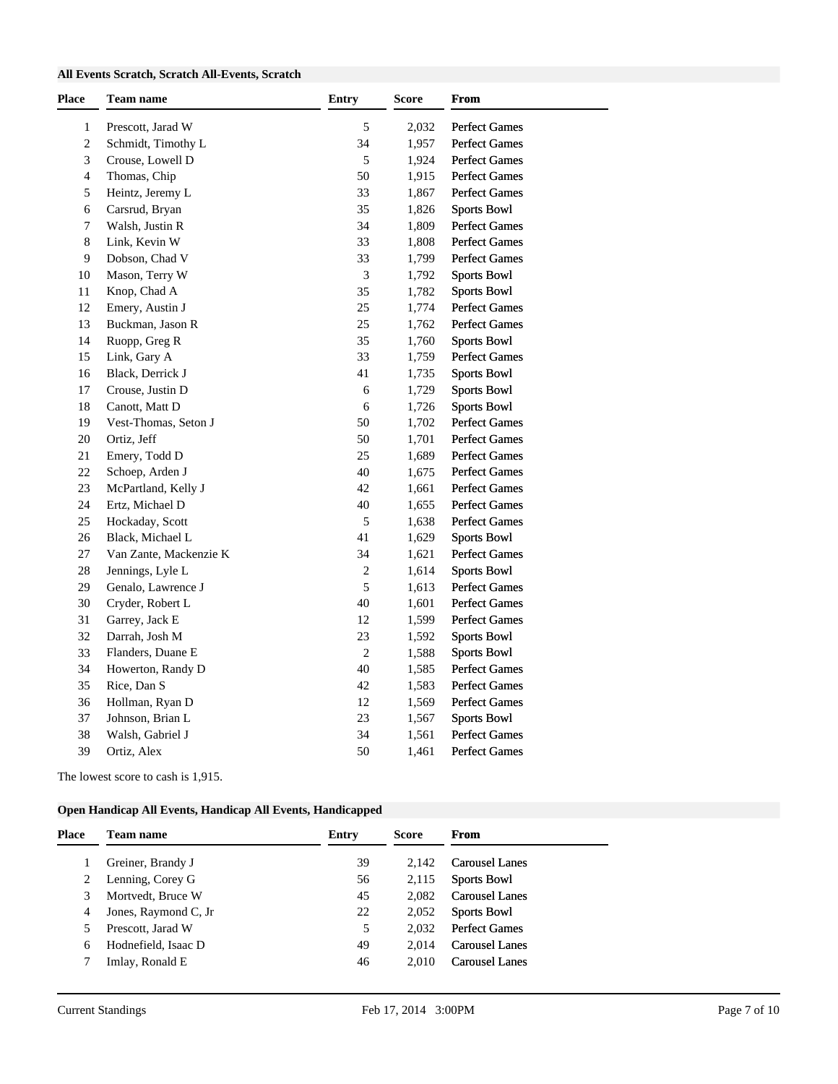### **All Events Scratch, Scratch All-Events, Scratch**

| <b>Place</b>   | Team name              | <b>Entry</b> | Score | From                 |
|----------------|------------------------|--------------|-------|----------------------|
| $\mathbf{1}$   | Prescott, Jarad W      | 5            | 2,032 | <b>Perfect Games</b> |
| $\sqrt{2}$     | Schmidt, Timothy L     | 34           | 1,957 | <b>Perfect Games</b> |
| 3              | Crouse, Lowell D       | $\sqrt{5}$   | 1,924 | <b>Perfect Games</b> |
| $\overline{4}$ | Thomas, Chip           | 50           | 1,915 | <b>Perfect Games</b> |
| 5              | Heintz, Jeremy L       | 33           | 1,867 | <b>Perfect Games</b> |
| 6              | Carsrud, Bryan         | 35           | 1,826 | <b>Sports Bowl</b>   |
| 7              | Walsh, Justin R        | 34           | 1,809 | Perfect Games        |
| 8              | Link, Kevin W          | 33           | 1,808 | <b>Perfect Games</b> |
| 9              | Dobson, Chad V         | 33           | 1,799 | <b>Perfect Games</b> |
| 10             | Mason, Terry W         | 3            | 1,792 | <b>Sports Bowl</b>   |
| 11             | Knop, Chad A           | 35           | 1,782 | <b>Sports Bowl</b>   |
| 12             | Emery, Austin J        | 25           | 1,774 | Perfect Games        |
| 13             | Buckman, Jason R       | 25           | 1,762 | <b>Perfect Games</b> |
| 14             | Ruopp, Greg R          | 35           | 1,760 | <b>Sports Bowl</b>   |
| 15             | Link, Gary A           | 33           | 1,759 | <b>Perfect Games</b> |
| 16             | Black, Derrick J       | 41           | 1,735 | <b>Sports Bowl</b>   |
| 17             | Crouse, Justin D       | 6            | 1,729 | <b>Sports Bowl</b>   |
| 18             | Canott, Matt D         | 6            | 1,726 | <b>Sports Bowl</b>   |
| 19             | Vest-Thomas, Seton J   | 50           | 1,702 | <b>Perfect Games</b> |
| 20             | Ortiz, Jeff            | 50           | 1,701 | <b>Perfect Games</b> |
| $21\,$         | Emery, Todd D          | 25           | 1,689 | <b>Perfect Games</b> |
| 22             | Schoep, Arden J        | 40           | 1,675 | Perfect Games        |
| 23             | McPartland, Kelly J    | 42           | 1,661 | <b>Perfect Games</b> |
| 24             | Ertz, Michael D        | 40           | 1,655 | <b>Perfect Games</b> |
| 25             | Hockaday, Scott        | 5            | 1,638 | <b>Perfect Games</b> |
| 26             | Black, Michael L       | 41           | 1,629 | <b>Sports Bowl</b>   |
| 27             | Van Zante, Mackenzie K | 34           | 1,621 | <b>Perfect Games</b> |
| 28             | Jennings, Lyle L       | 2            | 1,614 | <b>Sports Bowl</b>   |
| 29             | Genalo, Lawrence J     | $\sqrt{5}$   | 1,613 | <b>Perfect Games</b> |
| 30             | Cryder, Robert L       | 40           | 1,601 | <b>Perfect Games</b> |
| 31             | Garrey, Jack E         | 12           | 1,599 | <b>Perfect Games</b> |
| 32             | Darrah, Josh M         | 23           | 1,592 | <b>Sports Bowl</b>   |
| 33             | Flanders, Duane E      | $\sqrt{2}$   | 1,588 | <b>Sports Bowl</b>   |
| 34             | Howerton, Randy D      | 40           | 1,585 | Perfect Games        |
| 35             | Rice, Dan S            | 42           | 1,583 | <b>Perfect Games</b> |
| 36             | Hollman, Ryan D        | 12           | 1,569 | <b>Perfect Games</b> |
| 37             | Johnson, Brian L       | 23           | 1,567 | <b>Sports Bowl</b>   |
| 38             | Walsh, Gabriel J       | 34           | 1,561 | <b>Perfect Games</b> |
| 39             | Ortiz, Alex            | 50           | 1,461 | <b>Perfect Games</b> |

The lowest score to cash is 1,915.

### **Open Handicap All Events, Handicap All Events, Handicapped**

| Place | <b>Team name</b>      | Entry | Score | <b>From</b>           |
|-------|-----------------------|-------|-------|-----------------------|
|       | Greiner, Brandy J     | 39    | 2.142 | <b>Carousel Lanes</b> |
| 2     | Lenning, Corey G      | 56    | 2,115 | <b>Sports Bowl</b>    |
| 3     | Mortvedt, Bruce W     | 45    | 2.082 | <b>Carousel Lanes</b> |
| 4     | Jones, Raymond C, Jr. | 22    | 2,052 | <b>Sports Bowl</b>    |
|       | Prescott, Jarad W     | 5     | 2.032 | <b>Perfect Games</b>  |
| 6     | Hodnefield, Isaac D   | 49    | 2.014 | <b>Carousel Lanes</b> |
|       | Imlay, Ronald E       | 46    | 2.010 | <b>Carousel Lanes</b> |
|       |                       |       |       |                       |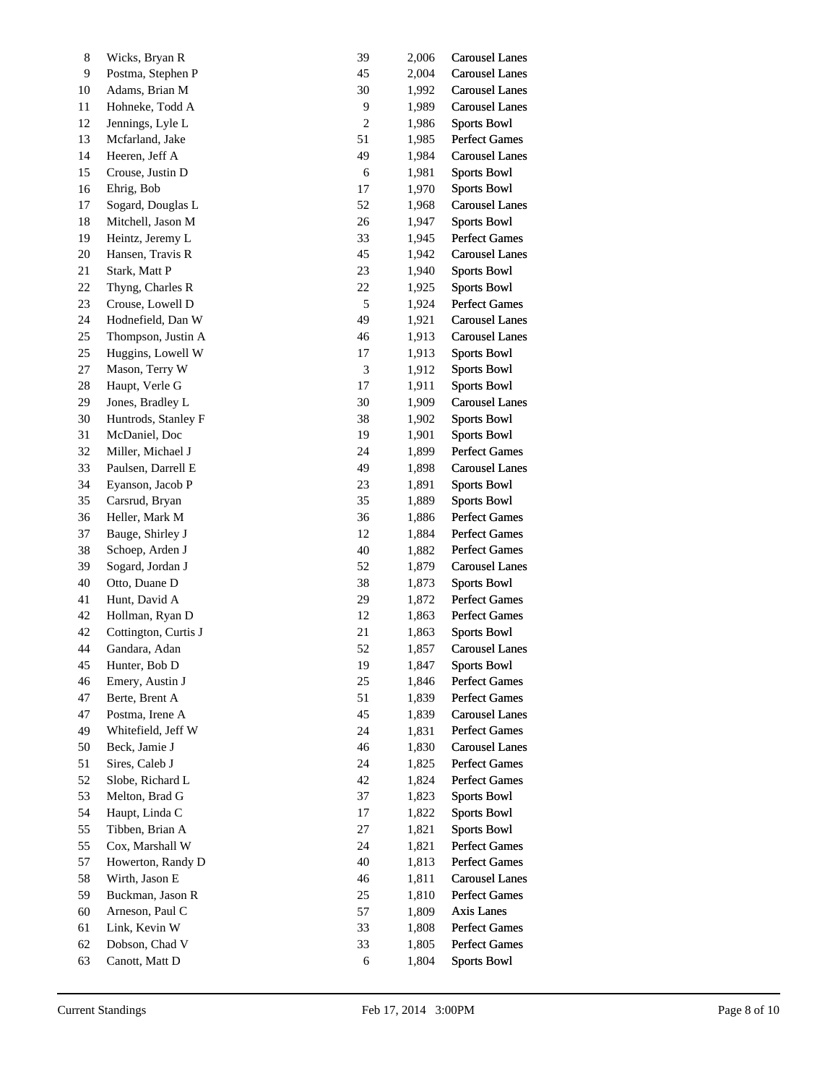| $\,8$ | Wicks, Bryan R       | 39               | 2,006 | <b>Carousel Lanes</b> |
|-------|----------------------|------------------|-------|-----------------------|
| 9     | Postma, Stephen P    | 45               | 2,004 | <b>Carousel Lanes</b> |
| 10    | Adams, Brian M       | 30               | 1,992 | <b>Carousel Lanes</b> |
| 11    | Hohneke, Todd A      | 9                | 1,989 | <b>Carousel Lanes</b> |
| 12    | Jennings, Lyle L     | $\boldsymbol{2}$ | 1,986 | <b>Sports Bowl</b>    |
| 13    | Mcfarland, Jake      | 51               | 1,985 | <b>Perfect Games</b>  |
| 14    | Heeren, Jeff A       | 49               | 1,984 | <b>Carousel Lanes</b> |
| 15    | Crouse, Justin D     | 6                | 1,981 | <b>Sports Bowl</b>    |
| 16    | Ehrig, Bob           | 17               | 1,970 | <b>Sports Bowl</b>    |
| 17    | Sogard, Douglas L    | 52               | 1,968 | <b>Carousel Lanes</b> |
| 18    | Mitchell, Jason M    | 26               | 1,947 | <b>Sports Bowl</b>    |
| 19    | Heintz, Jeremy L     | 33               | 1,945 | <b>Perfect Games</b>  |
| 20    | Hansen, Travis R     | 45               | 1,942 | <b>Carousel Lanes</b> |
| 21    | Stark, Matt P        | 23               | 1,940 | <b>Sports Bowl</b>    |
| 22    | Thyng, Charles R     | 22               | 1,925 | <b>Sports Bowl</b>    |
| 23    | Crouse, Lowell D     | $\sqrt{5}$       | 1,924 | <b>Perfect Games</b>  |
| 24    | Hodnefield, Dan W    | 49               | 1,921 | <b>Carousel Lanes</b> |
| 25    | Thompson, Justin A   | 46               | 1,913 | <b>Carousel Lanes</b> |
| 25    | Huggins, Lowell W    | 17               | 1,913 | <b>Sports Bowl</b>    |
| 27    | Mason, Terry W       | $\mathfrak{Z}$   | 1,912 | <b>Sports Bowl</b>    |
| 28    | Haupt, Verle G       | 17               | 1,911 | <b>Sports Bowl</b>    |
| 29    | Jones, Bradley L     | $30\,$           | 1,909 | <b>Carousel Lanes</b> |
| 30    | Huntrods, Stanley F  | 38               | 1,902 | <b>Sports Bowl</b>    |
| 31    | McDaniel, Doc        | 19               | 1,901 | <b>Sports Bowl</b>    |
| 32    | Miller, Michael J    | 24               | 1,899 | <b>Perfect Games</b>  |
| 33    | Paulsen, Darrell E   | 49               | 1,898 | <b>Carousel Lanes</b> |
| 34    | Eyanson, Jacob P     | 23               | 1,891 | <b>Sports Bowl</b>    |
| 35    | Carsrud, Bryan       | 35               | 1,889 | <b>Sports Bowl</b>    |
| 36    | Heller, Mark M       | 36               | 1,886 | <b>Perfect Games</b>  |
| 37    | Bauge, Shirley J     | 12               | 1,884 | <b>Perfect Games</b>  |
| 38    | Schoep, Arden J      | 40               | 1,882 | <b>Perfect Games</b>  |
| 39    | Sogard, Jordan J     | 52               | 1,879 | <b>Carousel Lanes</b> |
| 40    | Otto, Duane D        | 38               | 1,873 | <b>Sports Bowl</b>    |
| 41    | Hunt, David A        | 29               | 1,872 | <b>Perfect Games</b>  |
| 42    | Hollman, Ryan D      | 12               | 1,863 | <b>Perfect Games</b>  |
| 42    | Cottington, Curtis J | 21               | 1,863 | <b>Sports Bowl</b>    |
| 44    | Gandara, Adan        | 52               | 1,857 | <b>Carousel Lanes</b> |
| 45    | Hunter, Bob D        | 19               | 1,847 | <b>Sports Bowl</b>    |
| 46    | Emery, Austin J      | 25               | 1,846 | <b>Perfect Games</b>  |
| 47    | Berte, Brent A       | 51               | 1,839 | <b>Perfect Games</b>  |
| 47    | Postma, Irene A      | 45               | 1,839 | <b>Carousel Lanes</b> |
| 49    | Whitefield, Jeff W   | 24               | 1,831 | <b>Perfect Games</b>  |
| 50    | Beck, Jamie J        | 46               | 1,830 | <b>Carousel Lanes</b> |
| 51    | Sires, Caleb J       | 24               | 1,825 | <b>Perfect Games</b>  |
| 52    | Slobe, Richard L     | $42\,$           | 1,824 | <b>Perfect Games</b>  |
| 53    | Melton, Brad G       | 37               | 1,823 | <b>Sports Bowl</b>    |
| 54    | Haupt, Linda C       | 17               | 1,822 | <b>Sports Bowl</b>    |
| 55    | Tibben, Brian A      | 27               | 1,821 | <b>Sports Bowl</b>    |
| 55    | Cox, Marshall W      | 24               | 1,821 | <b>Perfect Games</b>  |
| 57    | Howerton, Randy D    | 40               | 1,813 | <b>Perfect Games</b>  |
| 58    | Wirth, Jason E       | 46               | 1,811 | <b>Carousel Lanes</b> |
| 59    | Buckman, Jason R     | $25\,$           | 1,810 | <b>Perfect Games</b>  |
| 60    | Arneson, Paul C      | 57               | 1,809 | Axis Lanes            |
| 61    | Link, Kevin W        | 33               | 1,808 | <b>Perfect Games</b>  |
| 62    | Dobson, Chad V       | 33               | 1,805 | <b>Perfect Games</b>  |
| 63    | Canott, Matt D       | 6                | 1,804 | <b>Sports Bowl</b>    |
|       |                      |                  |       |                       |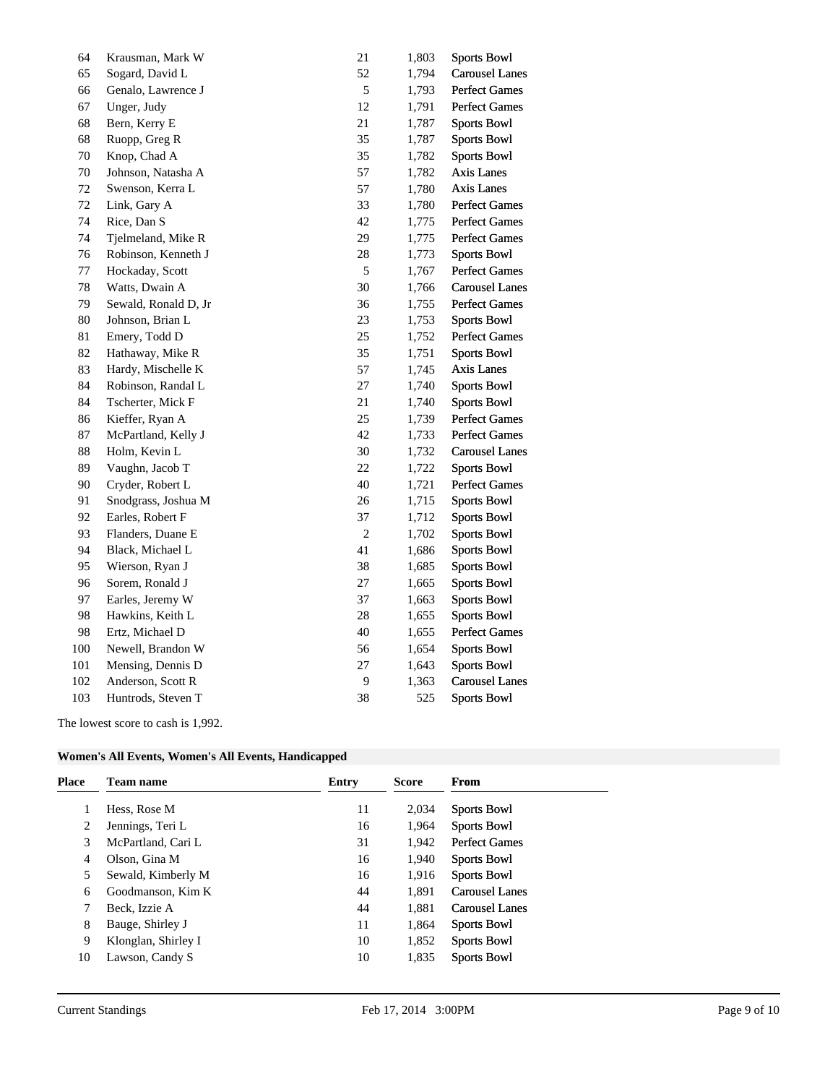| 64  | Krausman, Mark W     | 21         | 1,803 | <b>Sports Bowl</b>    |
|-----|----------------------|------------|-------|-----------------------|
| 65  | Sogard, David L      | 52         | 1,794 | <b>Carousel Lanes</b> |
| 66  | Genalo, Lawrence J   | 5          | 1,793 | <b>Perfect Games</b>  |
| 67  | Unger, Judy          | 12         | 1,791 | <b>Perfect Games</b>  |
| 68  | Bern, Kerry E        | 21         | 1,787 | <b>Sports Bowl</b>    |
| 68  | Ruopp, Greg R        | 35         | 1,787 | <b>Sports Bowl</b>    |
| 70  | Knop, Chad A         | 35         | 1,782 | <b>Sports Bowl</b>    |
| 70  | Johnson, Natasha A   | 57         | 1,782 | Axis Lanes            |
| 72  | Swenson, Kerra L     | 57         | 1,780 | <b>Axis Lanes</b>     |
| 72  | Link, Gary A         | 33         | 1,780 | <b>Perfect Games</b>  |
| 74  | Rice, Dan S          | 42         | 1,775 | Perfect Games         |
| 74  | Tjelmeland, Mike R   | 29         | 1,775 | Perfect Games         |
| 76  | Robinson, Kenneth J  | $28\,$     | 1,773 | <b>Sports Bowl</b>    |
| 77  | Hockaday, Scott      | 5          | 1,767 | <b>Perfect Games</b>  |
| 78  | Watts, Dwain A       | 30         | 1,766 | <b>Carousel Lanes</b> |
| 79  | Sewald, Ronald D, Jr | 36         | 1,755 | <b>Perfect Games</b>  |
| 80  | Johnson, Brian L     | 23         | 1,753 | <b>Sports Bowl</b>    |
| 81  | Emery, Todd D        | 25         | 1,752 | <b>Perfect Games</b>  |
| 82  | Hathaway, Mike R     | 35         | 1,751 | <b>Sports Bowl</b>    |
| 83  | Hardy, Mischelle K   | 57         | 1,745 | Axis Lanes            |
| 84  | Robinson, Randal L   | 27         | 1,740 | <b>Sports Bowl</b>    |
| 84  | Tscherter, Mick F    | 21         | 1,740 | <b>Sports Bowl</b>    |
| 86  | Kieffer, Ryan A      | 25         | 1,739 | <b>Perfect Games</b>  |
| 87  | McPartland, Kelly J  | 42         | 1,733 | Perfect Games         |
| 88  | Holm, Kevin L        | 30         | 1,732 | <b>Carousel Lanes</b> |
| 89  | Vaughn, Jacob T      | 22         | 1,722 | <b>Sports Bowl</b>    |
| 90  | Cryder, Robert L     | 40         | 1,721 | <b>Perfect Games</b>  |
| 91  | Snodgrass, Joshua M  | 26         | 1,715 | <b>Sports Bowl</b>    |
| 92  | Earles, Robert F     | 37         | 1,712 | <b>Sports Bowl</b>    |
| 93  | Flanders, Duane E    | $\sqrt{2}$ | 1,702 | <b>Sports Bowl</b>    |
| 94  | Black, Michael L     | 41         | 1,686 | <b>Sports Bowl</b>    |
| 95  | Wierson, Ryan J      | 38         | 1,685 | <b>Sports Bowl</b>    |
| 96  | Sorem, Ronald J      | $27\,$     | 1,665 | <b>Sports Bowl</b>    |
| 97  | Earles, Jeremy W     | 37         | 1,663 | <b>Sports Bowl</b>    |
| 98  | Hawkins, Keith L     | $28\,$     | 1,655 | <b>Sports Bowl</b>    |
| 98  | Ertz, Michael D      | 40         | 1,655 | <b>Perfect Games</b>  |
| 100 | Newell, Brandon W    | 56         | 1,654 | <b>Sports Bowl</b>    |
| 101 | Mensing, Dennis D    | 27         | 1,643 | <b>Sports Bowl</b>    |
| 102 | Anderson, Scott R    | 9          | 1,363 | <b>Carousel Lanes</b> |
| 103 | Huntrods, Steven T   | 38         | 525   | <b>Sports Bowl</b>    |
|     |                      |            |       |                       |

The lowest score to cash is 1,992.

# **Women's All Events, Women's All Events, Handicapped**

| <b>Place</b> | <b>Team name</b>    | Entry | <b>Score</b> | From                  |
|--------------|---------------------|-------|--------------|-----------------------|
|              | Hess, Rose M        | 11    | 2,034        | <b>Sports Bowl</b>    |
| 2            | Jennings, Teri L    | 16    | 1,964        | <b>Sports Bowl</b>    |
| 3            | McPartland, Cari L  | 31    | 1.942        | <b>Perfect Games</b>  |
| 4            | Olson, Gina M       | 16    | 1,940        | <b>Sports Bowl</b>    |
| 5            | Sewald, Kimberly M  | 16    | 1,916        | <b>Sports Bowl</b>    |
| 6            | Goodmanson, Kim K   | 44    | 1.891        | Carousel Lanes        |
|              | Beck, Izzie A       | 44    | 1,881        | <b>Carousel Lanes</b> |
| 8            | Bauge, Shirley J    | 11    | 1,864        | <b>Sports Bowl</b>    |
| 9            | Klonglan, Shirley I | 10    | 1,852        | <b>Sports Bowl</b>    |
| 10           | Lawson, Candy S     | 10    | 1,835        | <b>Sports Bowl</b>    |
|              |                     |       |              |                       |